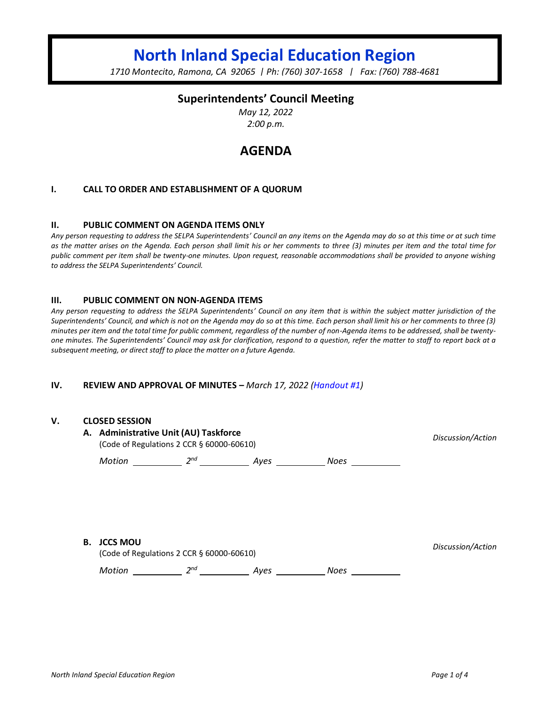# **North Inland Special Education Region**

*1710 Montecito, Ramona, CA 92065 | Ph: (760) 307-1658 | Fax: (760) 788-4681*

## **Superintendents' Council Meeting**

*May 12, 2022 2:00 p.m.*

## **AGENDA**

#### **I. CALL TO ORDER AND ESTABLISHMENT OF A QUORUM**

#### **II. PUBLIC COMMENT ON AGENDA ITEMS ONLY**

*Any person requesting to address the SELPA Superintendents' Council an any items on the Agenda may do so at this time or at such time as the matter arises on the Agenda. Each person shall limit his or her comments to three (3) minutes per item and the total time for public comment per item shall be twenty-one minutes. Upon request, reasonable accommodations shall be provided to anyone wishing to address the SELPA Superintendents' Council.*

#### **III. PUBLIC COMMENT ON NON-AGENDA ITEMS**

*Any person requesting to address the SELPA Superintendents' Council on any item that is within the subject matter jurisdiction of the Superintendents' Council, and which is not on the Agenda may do so at this time. Each person shall limit his or her comments to three (3) minutes per item and the total time for public comment, regardless of the number of non-Agenda items to be addressed, shall be twentyone minutes. The Superintendents' Council may ask for clarification, respond to a question, refer the matter to staff to report back at a subsequent meeting, or direct staff to place the matter on a future Agenda.*

#### **IV. REVIEW AND APPROVAL OF MINUTES –** *March 17, 2022 (Handout #1)*

#### **V. CLOSED SESSION**

|    | A. Administrative Unit (AU) Taskforce<br>(Code of Regulations 2 CCR § 60000-60610) | Discussion/Action |      |             |                   |
|----|------------------------------------------------------------------------------------|-------------------|------|-------------|-------------------|
|    | Motion                                                                             | 2 <sup>nd</sup>   | Ayes | <b>Noes</b> |                   |
|    |                                                                                    |                   |      |             |                   |
|    |                                                                                    |                   |      |             |                   |
|    |                                                                                    |                   |      |             |                   |
| В. | <b>JCCS MOU</b><br>(Code of Regulations 2 CCR § 60000-60610)                       |                   |      |             | Discussion/Action |

*Motion* 2<sup>nd</sup> 2<sup>nd</sup> Ayes 2008 Noes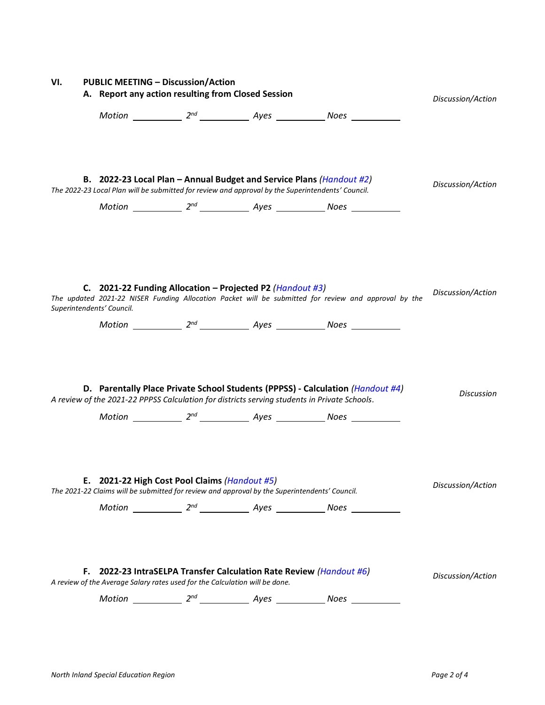| VI. | <b>PUBLIC MEETING - Discussion/Action</b> |                                                    |                                                                             |                                                                                                                                                                           |                                                                                                                                                                                        |                   |
|-----|-------------------------------------------|----------------------------------------------------|-----------------------------------------------------------------------------|---------------------------------------------------------------------------------------------------------------------------------------------------------------------------|----------------------------------------------------------------------------------------------------------------------------------------------------------------------------------------|-------------------|
|     |                                           | A. Report any action resulting from Closed Session | Discussion/Action                                                           |                                                                                                                                                                           |                                                                                                                                                                                        |                   |
|     |                                           |                                                    |                                                                             |                                                                                                                                                                           |                                                                                                                                                                                        |                   |
|     |                                           |                                                    |                                                                             | B. 2022-23 Local Plan - Annual Budget and Service Plans (Handout #2)<br>The 2022-23 Local Plan will be submitted for review and approval by the Superintendents' Council. |                                                                                                                                                                                        | Discussion/Action |
|     |                                           | Superintendents' Council.                          |                                                                             | C. 2021-22 Funding Allocation – Projected P2 (Handout #3)                                                                                                                 | The updated 2021-22 NISER Funding Allocation Packet will be submitted for review and approval by the                                                                                   | Discussion/Action |
|     |                                           |                                                    |                                                                             | A review of the 2021-22 PPPSS Calculation for districts serving students in Private Schools.                                                                              | D. Parentally Place Private School Students (PPPSS) - Calculation ( <i>Handout #4</i> )<br>Motion ______________ 2 <sup>nd</sup> _______________ Ayes ______________ Noes ____________ | Discussion        |
|     |                                           |                                                    | E. 2021-22 High Cost Pool Claims (Handout #5)                               | The 2021-22 Claims will be submitted for review and approval by the Superintendents' Council.                                                                             |                                                                                                                                                                                        | Discussion/Action |
|     | F.                                        |                                                    | A review of the Average Salary rates used for the Calculation will be done. | 2022-23 IntraSELPA Transfer Calculation Rate Review (Handout #6)                                                                                                          |                                                                                                                                                                                        | Discussion/Action |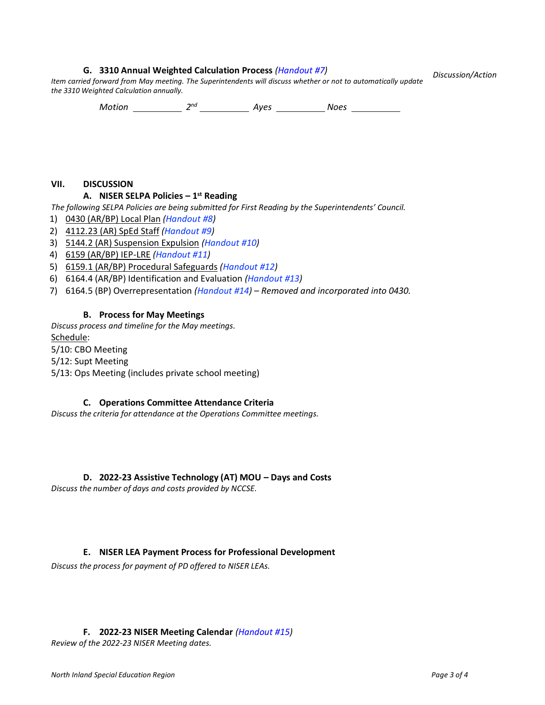#### **G. 3310 Annual Weighted Calculation Process** *(Handout #7)*

*Discussion/Action*

*Item carried forward from May meeting. The Superintendents will discuss whether or not to automatically update the 3310 Weighted Calculation annually.*

*Motion* 2<sup>nd</sup> 2<sup>nd</sup> Ayes 2008 Noes

#### **VII. DISCUSSION**

## **A. NISER SELPA Policies – 1 st Reading**

*The following SELPA Policies are being submitted for First Reading by the Superintendents' Council.*

- 1) 0430 (AR/BP) Local Plan *(Handout #8)*
- 2) 4112.23 (AR) SpEd Staff *(Handout #9)*
- 3) 5144.2 (AR) Suspension Expulsion *(Handout #10)*
- 4) 6159 (AR/BP) IEP-LRE *(Handout #11)*
- 5) 6159.1 (AR/BP) Procedural Safeguards *(Handout #12)*
- 6) 6164.4 (AR/BP) Identification and Evaluation *(Handout #13)*
- 7) 6164.5 (BP) Overrepresentation *(Handout #14) – Removed and incorporated into 0430.*

#### **B. Process for May Meetings**

*Discuss process and timeline for the May meetings.* Schedule: 5/10: CBO Meeting 5/12: Supt Meeting 5/13: Ops Meeting (includes private school meeting)

#### **C. Operations Committee Attendance Criteria**

*Discuss the criteria for attendance at the Operations Committee meetings.*

**D. 2022-23 Assistive Technology (AT) MOU – Days and Costs**

*Discuss the number of days and costs provided by NCCSE.*

#### **E. NISER LEA Payment Process for Professional Development**

*Discuss the process for payment of PD offered to NISER LEAs.*

#### **F. 2022-23 NISER Meeting Calendar** *(Handout #15)*

*Review of the 2022-23 NISER Meeting dates.*